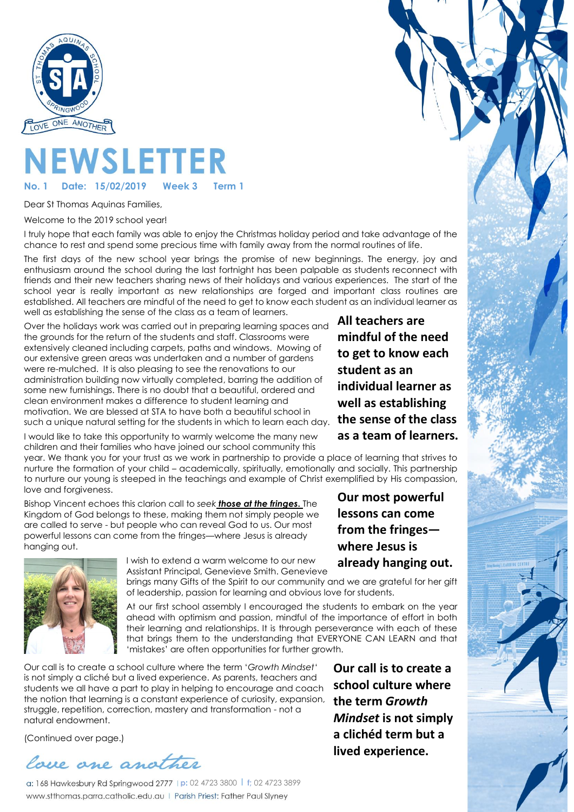

# **NEWSLETTER**

Date: 15/02/2019

Dear St Thomas Aquinas Families,

Welcome to the 2019 school year!

I truly hope that each family was able to enjoy the Christmas holiday period and take advantage of the chance to rest and spend some precious time with family away from the normal routines of life.

The first days of the new school year brings the promise of new beginnings. The energy, joy and enthusiasm around the school during the last fortnight has been palpable as students reconnect with friends and their new teachers sharing news of their holidays and various experiences. The start of the school year is really important as new relationships are forged and important class routines are established. All teachers are mindful of the need to get to know each student as an individual learner as well as establishing the sense of the class as a team of learners.

Over the holidays work was carried out in preparing learning spaces and the grounds for the return of the students and staff. Classrooms were extensively cleaned including carpets, paths and windows. Mowing of our extensive green areas was undertaken and a number of gardens were re-mulched. It is also pleasing to see the renovations to our administration building now virtually completed, barring the addition of some new furnishings. There is no doubt that a beautiful, ordered and clean environment makes a difference to student learning and motivation. We are blessed at STA to have both a beautiful school in such a unique natural setting for the students in which to learn each day.

I would like to take this opportunity to warmly welcome the many new children and their families who have joined our school community this year. We thank you for your trust as we work in partnership to provide a place of learning that strives to

nurture the formation of your child – academically, spiritually, emotionally and socially. This partnership to nurture our young is steeped in the teachings and example of Christ exemplified by His compassion, love and forgiveness.

Bishop Vincent echoes this clarion call to *seek those at the fringes***.** The Kingdom of God belongs to these, making them not simply people we are called to serve - but people who can reveal God to us. Our most powerful lessons can come from the fringes—where Jesus is already hanging out.



I wish to extend a warm welcome to our new Assistant Principal, Genevieve Smith. Genevieve

brings many Gifts of the Spirit to our community and we are grateful for her gift of leadership, passion for learning and obvious love for students.

At our first school assembly I encouraged the students to embark on the year ahead with optimism and passion, mindful of the importance of effort in both their learning and relationships. It is through perseverance with each of these that brings them to the understanding that EVERYONE CAN LEARN and that 'mistakes' are often opportunities for further growth.

Our call is to create a school culture where the term '*Growth Mindset*' is not simply a cliché but a lived experience. As parents, teachers and students we all have a part to play in helping to encourage and coach the notion that learning is a constant experience of curiosity, expansion, struggle, repetition, correction, mastery and transformation - not a natural endowment.

(Continued over page.)



**p:** 02 4723 3800 l **f;** 02 4723 3899 www.stthomas.parra.catholic.edu.au | Parish Priest: Father Paul Slyney

**All teachers are mindful of the need to get to know each student as an individual learner as well as establishing the sense of the class as a team of learners.**

**Our most powerful lessons can come from the fringes where Jesus is already hanging out.**

**Our call is to create a school culture where the term** *Growth Mindset* **is not simply a clichéd term but a lived experience.**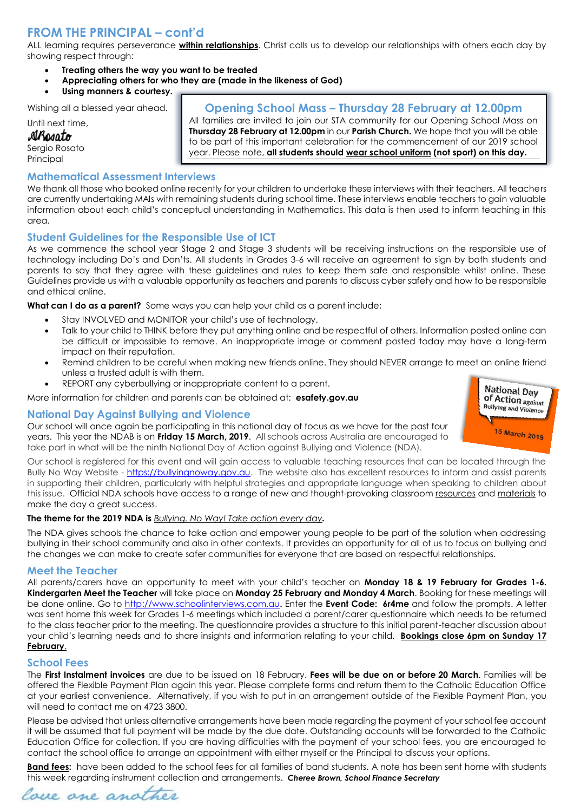# **FROM THE PRINCIPAL – cont'd**

ALL learning requires perseverance **within relationships**. Christ calls us to develop our relationships with others each day by showing respect through:

- **Treating others the way you want to be treated**
- **Appreciating others for who they are (made in the likeness of God)**
- **Using manners & courtesy.**

Wishing all a blessed year ahead.

Until next time,

#### AlBosato

Sergio Rosato Principal

# **Opening School Mass – Thursday 28 February at 12.00pm**

All families are invited to join our STA community for our Opening School Mass on **Thursday 28 February at 12.00pm** in our **Parish Church.** We hope that you will be able to be part of this important celebration for the commencement of our 2019 school year. Please note, **all students should wear school uniform (not sport) on this day.**

#### **Mathematical Assessment Interviews**

We thank all those who booked online recently for your children to undertake these interviews with their teachers. All teachers are currently undertaking MAIs with remaining students during school time. These interviews enable teachers to gain valuable information about each child's conceptual understanding in Mathematics. This data is then used to inform teaching in this  $C<sub>0</sub>$ 

#### **Student Guidelines for the Responsible Use of ICT**

As we commence the school year Stage 2 and Stage 3 students will be receiving instructions on the responsible use of technology including Do's and Don'ts. All students in Grades 3-6 will receive an agreement to sign by both students and parents to say that they agree with these guidelines and rules to keep them safe and responsible whilst online. These Guidelines provide us with a valuable opportunity as teachers and parents to discuss cyber safety and how to be responsible and ethical online.

**What can I do as a parent?** Some ways you can help your child as a parent include:

- Stay INVOLVED and MONITOR your child's use of technology.
- Talk to your child to THINK before they put anything online and be respectful of others. Information posted online can be difficult or impossible to remove. An inappropriate image or comment posted today may have a long-term impact on their reputation.
- Remind children to be careful when making new friends online. They should NEVER arrange to meet an online friend unless a trusted adult is with them.
- REPORT any cyberbullying or inappropriate content to a parent.

More information for children and parents can be obtained at: **esafety.gov.au**

#### **National Day Against Bullying and Violence**

Our school will once again be participating in this national day of focus as we have for the past four years. This year the NDAB is on **Friday 15 March, 2019**. All schools across Australia are encouraged to take part in what will be the ninth National Day of Action against Bullying and Violence (NDA).

Our school is registered for this event and will gain access to valuable teaching resources that can be located through the Bully No Way Website - [https://bullyingnoway.gov.au.](https://bullyingnoway.gov.au/) The website also has excellent resources to inform and assist parents in supporting their children, particularly with helpful strategies and appropriate language when speaking to children about this issue. Official NDA schools have access to a range of new and thought-provoking classroom [resources](https://bullyingnoway.gov.au/NationalDay/ForSchools/LessonPlans) and [materials](https://bullyingnoway.gov.au/NationalDay/ForSchools/Pages/School-materials-to-download.aspx) to make the day a great success.

#### **The theme for the 2019 NDA is** *[Bullying. No Way! Take action every day](https://bullyingnoway.gov.au/NationalDay/Pages/Take-Action-every-day.aspx).*

The NDA gives schools the chance to take action and empower young people to be part of the solution when addressing bullying in their school community and also in other contexts. It provides an opportunity for all of us to focus on bullying and the changes we can make to create safer communities for everyone that are based on respectful relationships.

#### **Meet the Teacher**

All parents/carers have an opportunity to meet with your child's teacher on **Monday 18 & 19 February for Grades 1-6. Kindergarten Meet the Teacher** will take place on **Monday 25 February and Monday 4 March**. Booking for these meetings will be done online. Go to [http://www.schoolinterviews.com.au](http://www.schoolinterviews.com.au/)**.** Enter the **Event Code: 6r4me** and follow the prompts. A letter was sent home this week for Grades 1-6 meetings which included a parent/carer questionnaire which needs to be returned to the class teacher prior to the meeting. The questionnaire provides a structure to this initial parent-teacher discussion about your child's learning needs and to share insights and information relating to your child. **Bookings close 6pm on Sunday 17 February**.

#### **School Fees**

The **First Instalment invoices** are due to be issued on 18 February. **Fees will be due on or before 20 March**. Families will be offered the Flexible Payment Plan again this year. Please complete forms and return them to the Catholic Education Office at your earliest convenience. Alternatively, if you wish to put in an arrangement outside of the Flexible Payment Plan, you will need to contact me on 4723 3800.

Please be advised that unless alternative arrangements have been made regarding the payment of your school fee account it will be assumed that full payment will be made by the due date. Outstanding accounts will be forwarded to the Catholic Education Office for collection. If you are having difficulties with the payment of your school fees, you are encouraged to contact the school office to arrange an appointment with either myself or the Principal to discuss your options.

**Band fees:** have been added to the school fees for all families of band students. A note has been sent home with students this week regarding instrument collection and arrangements. *Cheree Brown, School Finance Secretary*



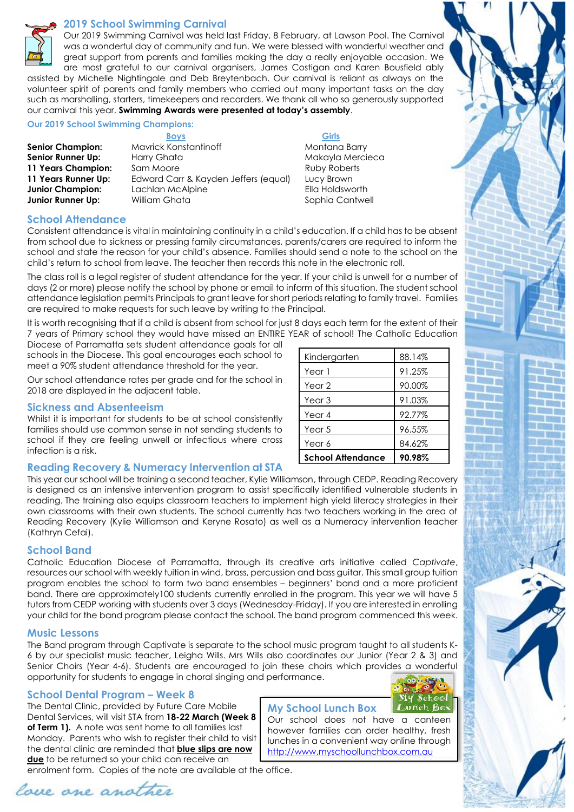

#### **2019 School Swimming Carnival**

Our 2019 Swimming Carnival was held last Friday, 8 February, at Lawson Pool. The Carnival was a wonderful day of community and fun. We were blessed with wonderful weather and great support from parents and families making the day a really enjoyable occasion. We are most grateful to our carnival organisers, James Costigan and Karen Bousfield ably assisted by Michelle Nightingale and Deb Breytenbach. Our carnival is reliant as always on the

volunteer spirit of parents and family members who carried out many important tasks on the day such as marshalling, starters, timekeepers and recorders. We thank all who so generously supported our carnival this year. **Swimming Awards were presented at today's assembly**.

**Our 2019 School Swimming Champions:**

**Boys** Girls **Senior Champion:** Mavrick Konstantinoff Montana Barry **Senior Runner Up:** Harry Ghata Makayla Makayla Mercieca **11 Years Champion:** Sam Moore **Ruby Roberts** Ruby Roberts 11 Years Runner Up: Edward Carr & Kayden Jeffers (equal) Lucy Brown **Junior Champion:** Lachlan McAlpine **Ella Holdsworth Junior Runner Up:** William Ghata **Sophia Cantwell** Sophia Cantwell

#### **School Attendance**

Consistent attendance is vital in maintaining continuity in a child's education. If a child has to be absent from school due to sickness or pressing family circumstances, parents/carers are required to inform the school and state the reason for your child's absence. Families should send a note to the school on the child's return to school from leave. The teacher then records this note in the electronic roll.

The class roll is a legal register of student attendance for the year. If your child is unwell for a number of days (2 or more) please notify the school by phone or email to inform of this situation. The student school attendance legislation permits Principals to grant leave for short periods relating to family travel. Families are required to make requests for such leave by writing to the Principal.

It is worth recognising that if a child is absent from school for just 8 days each term for the extent of their 7 years of Primary school they would have missed an ENTIRE YEAR of school! The Catholic Education

Diocese of Parramatta sets student attendance goals for all schools in the Diocese. This goal encourages each school to meet a 90% student attendance threshold for the year.

Our school attendance rates per grade and for the school in 2018 are displayed in the adjacent table.

#### **Sickness and Absenteeism**

Whilst it is important for students to be at school consistently families should use common sense in not sending students to school if they are feeling unwell or infectious where cross infection is a risk.

#### **Reading Recovery & Numeracy Intervention at STA**

| Kindergarten             | 88.14% |
|--------------------------|--------|
| Year 1                   | 91.25% |
| Year <sub>2</sub>        | 90.00% |
| Year <sub>3</sub>        | 91.03% |
| Year 4                   | 92.77% |
| Year 5                   | 96.55% |
| Year 6                   | 84.62% |
| <b>School Attendance</b> | 90.98% |

This year our school will be training a second teacher, Kylie Williamson, through CEDP. Reading Recovery is designed as an intensive intervention program to assist specifically identified vulnerable students in reading. The training also equips classroom teachers to implement high yield literacy strategies in their own classrooms with their own students. The school currently has two teachers working in the area of Reading Recovery (Kylie Williamson and Keryne Rosato) as well as a Numeracy intervention teacher (Kathryn Cefai).

#### **School Band**

Catholic Education Diocese of Parramatta, through its creative arts initiative called *Captivate*, resources our school with weekly tuition in wind, brass, percussion and bass guitar. This small group tuition program enables the school to form two band ensembles – beginners' band and a more proficient band. There are approximately100 students currently enrolled in the program. This year we will have 5 tutors from CEDP working with students over 3 days (Wednesday-Friday). If you are interested in enrolling your child for the band program please contact the school. The band program commenced this week.

#### **Music Lessons**

The Band program through Captivate is separate to the school music program taught to all students K-6 by our specialist music teacher, Leigha Wills. Mrs Wills also coordinates our Junior (Year 2 & 3) and Senior Choirs (Year 4-6). Students are encouraged to join these choirs which provides a wonderful opportunity for students to engage in choral singing and performance.

#### **School Dental Program – Week 8**

The Dental Clinic, provided by Future Care Mobile Dental Services, will visit STA from **18-22 March (Week 8 of Term 1).** A note was sent home to all families last Monday. Parents who wish to register their child to visit the dental clinic are reminded that **blue slips are now due** to be returned so your child can receive an

enrolment form. Copies of the note are available at the office.



# **My School Lunch Box**



Our school does not have a canteen however families can order healthy, fresh lunches in a convenient way online through [http://www.myschoollunchbox.com.au](http://www.myschoollunchbox.com.au/)